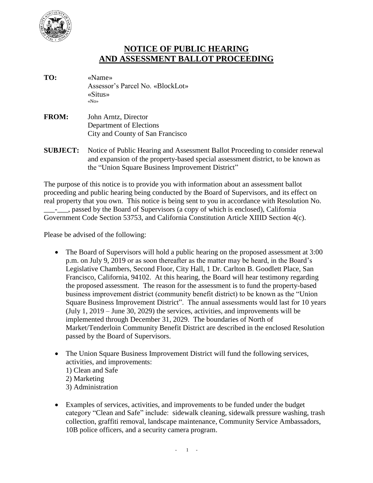

## **NOTICE OF PUBLIC HEARING AND ASSESSMENT BALLOT PROCEEDING**

- **TO:** «Name» Assessor's Parcel No. «BlockLot» «Situs» «No»
- **FROM:** John Arntz, Director Department of Elections City and County of San Francisco
- **SUBJECT:** Notice of Public Hearing and Assessment Ballot Proceeding to consider renewal and expansion of the property-based special assessment district, to be known as the "Union Square Business Improvement District"

The purpose of this notice is to provide you with information about an assessment ballot proceeding and public hearing being conducted by the Board of Supervisors, and its effect on real property that you own. This notice is being sent to you in accordance with Resolution No. \_\_\_\_\_, passed by the Board of Supervisors (a copy of which is enclosed), California Government Code Section 53753, and California Constitution Article XIIID Section 4(c).

Please be advised of the following:

- The Board of Supervisors will hold a public hearing on the proposed assessment at 3:00 p.m. on July 9, 2019 or as soon thereafter as the matter may be heard, in the Board's Legislative Chambers, Second Floor, City Hall, 1 Dr. Carlton B. Goodlett Place, San Francisco, California, 94102. At this hearing, the Board will hear testimony regarding the proposed assessment. The reason for the assessment is to fund the property-based business improvement district (community benefit district) to be known as the "Union Square Business Improvement District". The annual assessments would last for 10 years (July 1, 2019 – June 30, 2029) the services, activities, and improvements will be implemented through December 31, 2029. The boundaries of North of Market/Tenderloin Community Benefit District are described in the enclosed Resolution passed by the Board of Supervisors.
- The Union Square Business Improvement District will fund the following services, activities, and improvements: 1) Clean and Safe 2) Marketing 3) Administration
- Examples of services, activities, and improvements to be funded under the budget category "Clean and Safe" include:sidewalk cleaning, sidewalk pressure washing, trash collection, graffiti removal, landscape maintenance, Community Service Ambassadors, 10B police officers, and a security camera program.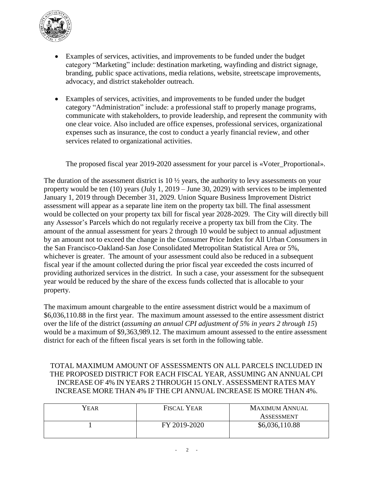

- Examples of services, activities, and improvements to be funded under the budget category "Marketing" include: destination marketing, wayfinding and district signage, branding, public space activations, media relations, website, streetscape improvements, advocacy, and district stakeholder outreach.
- Examples of services, activities, and improvements to be funded under the budget category "Administration" include: a professional staff to properly manage programs, communicate with stakeholders, to provide leadership, and represent the community with one clear voice. Also included are office expenses, professional services, organizational expenses such as insurance, the cost to conduct a yearly financial review, and other services related to organizational activities.

The proposed fiscal year 2019-2020 assessment for your parcel is «Voter\_Proportional».

The duration of the assessment district is 10 ½ years, the authority to levy assessments on your property would be ten (10) years (July 1, 2019 – June 30, 2029) with services to be implemented January 1, 2019 through December 31, 2029. Union Square Business Improvement District assessment will appear as a separate line item on the property tax bill. The final assessment would be collected on your property tax bill for fiscal year 2028-2029. The City will directly bill any Assessor's Parcels which do not regularly receive a property tax bill from the City. The amount of the annual assessment for years 2 through 10 would be subject to annual adjustment by an amount not to exceed the change in the Consumer Price Index for All Urban Consumers in the San Francisco-Oakland-San Jose Consolidated Metropolitan Statistical Area or 5%, whichever is greater. The amount of your assessment could also be reduced in a subsequent fiscal year if the amount collected during the prior fiscal year exceeded the costs incurred of providing authorized services in the district. In such a case, your assessment for the subsequent year would be reduced by the share of the excess funds collected that is allocable to your property.

The maximum amount chargeable to the entire assessment district would be a maximum of \$6,036,110.88 in the first year. The maximum amount assessed to the entire assessment district over the life of the district (*assuming an annual CPI adjustment of 5% in years 2 through 15*) would be a maximum of \$9,363,989.12. The maximum amount assessed to the entire assessment district for each of the fifteen fiscal years is set forth in the following table.

## TOTAL MAXIMUM AMOUNT OF ASSESSMENTS ON ALL PARCELS INCLUDED IN THE PROPOSED DISTRICT FOR EACH FISCAL YEAR, ASSUMING AN ANNUAL CPI INCREASE OF 4% IN YEARS 2 THROUGH 15 ONLY. ASSESSMENT RATES MAY INCREASE MORE THAN 4% IF THE CPI ANNUAL INCREASE IS MORE THAN 4%.

| <b>FISCAL YEAR</b> | <b>MAXIMUM ANNUAL</b> |  |
|--------------------|-----------------------|--|
|                    | <b>ASSESSMENT</b>     |  |
| FY 2019-2020       | \$6,036,110.88        |  |
|                    |                       |  |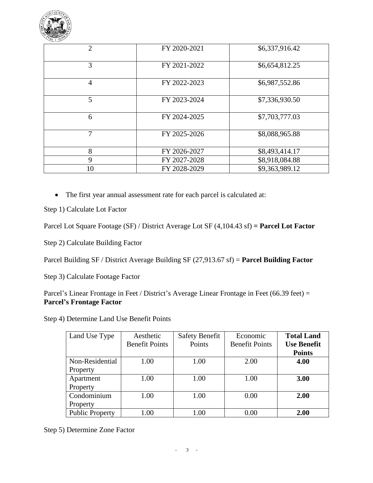

| $\overline{2}$ | FY 2020-2021 | \$6,337,916.42 |
|----------------|--------------|----------------|
| 3              | FY 2021-2022 | \$6,654,812.25 |
| 4              | FY 2022-2023 | \$6,987,552.86 |
| 5              | FY 2023-2024 | \$7,336,930.50 |
| 6              | FY 2024-2025 | \$7,703,777.03 |
| 7              | FY 2025-2026 | \$8,088,965.88 |
| 8              | FY 2026-2027 | \$8,493,414.17 |
| 9              | FY 2027-2028 | \$8,918,084.88 |
| 10             | FY 2028-2029 | \$9,363,989.12 |

The first year annual assessment rate for each parcel is calculated at:

Step 1) Calculate Lot Factor

Parcel Lot Square Footage (SF) / District Average Lot SF (4,104.43 sf) **= Parcel Lot Factor**

Step 2) Calculate Building Factor

Parcel Building SF / District Average Building SF (27,913.67 sf) = **Parcel Building Factor**

Step 3) Calculate Footage Factor

Parcel's Linear Frontage in Feet / District's Average Linear Frontage in Feet (66.39 feet) = **Parcel's Frontage Factor**

Step 4) Determine Land Use Benefit Points

| Land Use Type          | Aesthetic<br><b>Benefit Points</b> | <b>Safety Benefit</b><br>Points | Economic<br><b>Benefit Points</b> | <b>Total Land</b><br><b>Use Benefit</b> |
|------------------------|------------------------------------|---------------------------------|-----------------------------------|-----------------------------------------|
|                        |                                    |                                 |                                   | <b>Points</b>                           |
| Non-Residential        | 1.00                               | 1.00                            | 2.00                              | 4.00                                    |
| Property               |                                    |                                 |                                   |                                         |
| Apartment              | 1.00                               | 1.00                            | 1.00                              | 3.00                                    |
| Property               |                                    |                                 |                                   |                                         |
| Condominium            | 1.00                               | 1.00                            | 0.00                              | 2.00                                    |
| Property               |                                    |                                 |                                   |                                         |
| <b>Public Property</b> | 1.00                               | 1.00                            | 0.00                              | 2.00                                    |

Step 5) Determine Zone Factor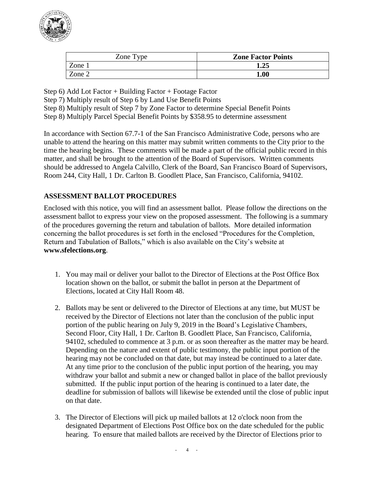

| Zone Type | <b>Zone Factor Points</b> |
|-----------|---------------------------|
| Zone 1    | 1.25                      |
| Zone 2    | $1.00\,$                  |

Step 6) Add Lot Factor + Building Factor + Footage Factor

Step 7) Multiply result of Step 6 by Land Use Benefit Points

Step 8) Multiply result of Step 7 by Zone Factor to determine Special Benefit Points

Step 8) Multiply Parcel Special Benefit Points by \$358.95 to determine assessment

In accordance with Section 67.7-1 of the San Francisco Administrative Code, persons who are unable to attend the hearing on this matter may submit written comments to the City prior to the time the hearing begins. These comments will be made a part of the official public record in this matter, and shall be brought to the attention of the Board of Supervisors. Written comments should be addressed to Angela Calvillo, Clerk of the Board, San Francisco Board of Supervisors, Room 244, City Hall, 1 Dr. Carlton B. Goodlett Place, San Francisco, California, 94102.

## **ASSESSMENT BALLOT PROCEDURES**

Enclosed with this notice, you will find an assessment ballot. Please follow the directions on the assessment ballot to express your view on the proposed assessment. The following is a summary of the procedures governing the return and tabulation of ballots. More detailed information concerning the ballot procedures is set forth in the enclosed "Procedures for the Completion, Return and Tabulation of Ballots," which is also available on the City's website at **www.sfelections.org**.

- 1. You may mail or deliver your ballot to the Director of Elections at the Post Office Box location shown on the ballot, or submit the ballot in person at the Department of Elections, located at City Hall Room 48.
- 2. Ballots may be sent or delivered to the Director of Elections at any time, but MUST be received by the Director of Elections not later than the conclusion of the public input portion of the public hearing on July 9, 2019 in the Board's Legislative Chambers, Second Floor, City Hall, 1 Dr. Carlton B. Goodlett Place, San Francisco, California, 94102, scheduled to commence at 3 p.m. or as soon thereafter as the matter may be heard. Depending on the nature and extent of public testimony, the public input portion of the hearing may not be concluded on that date, but may instead be continued to a later date. At any time prior to the conclusion of the public input portion of the hearing, you may withdraw your ballot and submit a new or changed ballot in place of the ballot previously submitted. If the public input portion of the hearing is continued to a later date, the deadline for submission of ballots will likewise be extended until the close of public input on that date.
- 3. The Director of Elections will pick up mailed ballots at 12 o'clock noon from the designated Department of Elections Post Office box on the date scheduled for the public hearing. To ensure that mailed ballots are received by the Director of Elections prior to